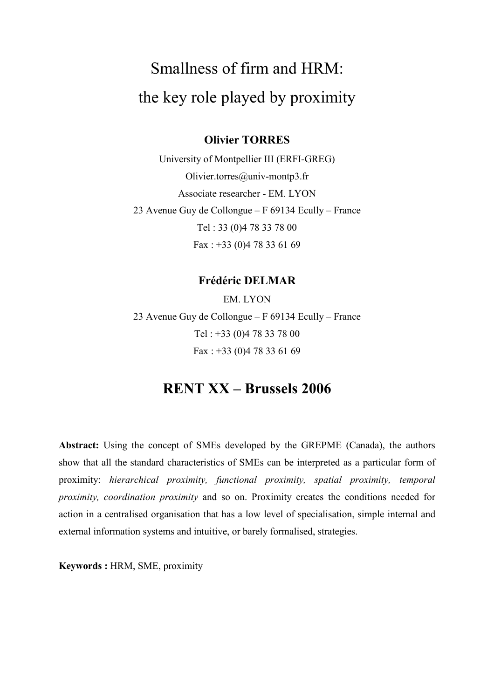# Smallness of firm and HRM: the key role played by proximity

### **Olivier TORRES**

University of Montpellier III (ERFI-GREG) Olivier.torres@univ-montp3.fr Associate researcher - EM. LYON 23 Avenue Guy de Collongue - F 69134 Ecully - France Tel: 33 (0)4 78 33 78 00 Fax:  $+33$  (0)4 78 33 61 69

## **Frédéric DELMAR**

EM. LYON 23 Avenue Guy de Collongue – F 69134 Ecully – France Tel: +33 (0)4 78 33 78 00 Fax:  $+33$  (0)4 78 33 61 69

# **RENT XX - Brussels 2006**

**Abstract:** Using the concept of SMEs developed by the GREPME (Canada), the authors show that all the standard characteristics of SMEs can be interpreted as a particular form of proximity: hierarchical proximity, functional proximity, spatial proximity, temporal proximity, coordination proximity and so on. Proximity creates the conditions needed for action in a centralised organisation that has a low level of specialisation, simple internal and external information systems and intuitive, or barely formalised, strategies.

Keywords: HRM, SME, proximity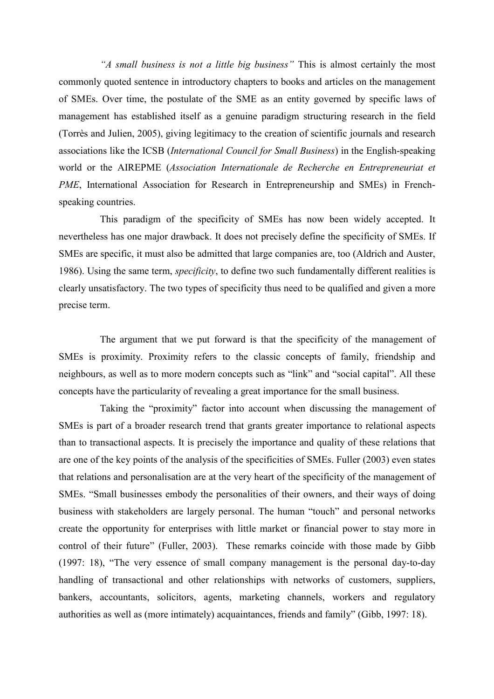"A small business is not a little big business" This is almost certainly the most commonly quoted sentence in introductory chapters to books and articles on the management of SMEs. Over time, the postulate of the SME as an entity governed by specific laws of management has established itself as a genuine paradigm structuring research in the field (Torrès and Julien, 2005), giving legitimacy to the creation of scientific journals and research associations like the ICSB (International Council for Small Business) in the English-speaking world or the AIREPME (Association Internationale de Recherche en Entrepreneuriat et PME, International Association for Research in Entrepreneurship and SMEs) in Frenchspeaking countries.

This paradigm of the specificity of SMEs has now been widely accepted. It nevertheless has one major drawback. It does not precisely define the specificity of SMEs. If SMEs are specific, it must also be admitted that large companies are, too (Aldrich and Auster, 1986). Using the same term, *specificity*, to define two such fundamentally different realities is clearly unsatisfactory. The two types of specificity thus need to be qualified and given a more precise term.

The argument that we put forward is that the specificity of the management of SMEs is proximity. Proximity refers to the classic concepts of family, friendship and neighbours, as well as to more modern concepts such as "link" and "social capital". All these concepts have the particularity of revealing a great importance for the small business.

Taking the "proximity" factor into account when discussing the management of SMEs is part of a broader research trend that grants greater importance to relational aspects than to transactional aspects. It is precisely the importance and quality of these relations that are one of the key points of the analysis of the specificities of SMEs. Fuller (2003) even states that relations and personalisation are at the very heart of the specificity of the management of SMEs. "Small businesses embody the personalities of their owners, and their ways of doing business with stakeholders are largely personal. The human "touch" and personal networks create the opportunity for enterprises with little market or financial power to stay more in control of their future" (Fuller, 2003). These remarks coincide with those made by Gibb (1997: 18), "The very essence of small company management is the personal day-to-day handling of transactional and other relationships with networks of customers, suppliers, bankers, accountants, solicitors, agents, marketing channels, workers and regulatory authorities as well as (more intimately) acquaintances, friends and family" (Gibb, 1997: 18).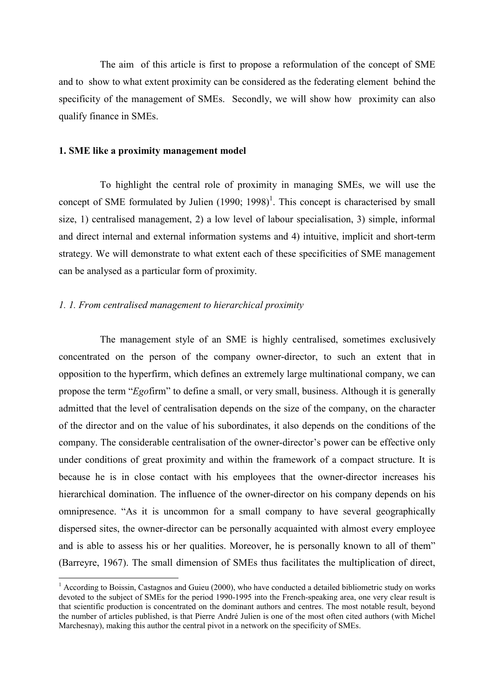The aim of this article is first to propose a reformulation of the concept of SME and to show to what extent proximity can be considered as the federating element behind the specificity of the management of SMEs. Secondly, we will show how proximity can also qualify finance in SMEs.

#### 1. SME like a proximity management model

To highlight the central role of proximity in managing SMEs, we will use the concept of SME formulated by Julien  $(1990; 1998)^{1}$ . This concept is characterised by small size, 1) centralised management, 2) a low level of labour specialisation, 3) simple, informal and direct internal and external information systems and 4) intuitive, implicit and short-term strategy. We will demonstrate to what extent each of these specificities of SME management can be analysed as a particular form of proximity.

#### 1. 1. From centralised management to hierarchical proximity

The management style of an SME is highly centralised, sometimes exclusively concentrated on the person of the company owner-director, to such an extent that in opposition to the hyperfirm, which defines an extremely large multinational company, we can propose the term "Egofirm" to define a small, or very small, business. Although it is generally admitted that the level of centralisation depends on the size of the company, on the character of the director and on the value of his subordinates, it also depends on the conditions of the company. The considerable centralisation of the owner-director's power can be effective only under conditions of great proximity and within the framework of a compact structure. It is because he is in close contact with his employees that the owner-director increases his hierarchical domination. The influence of the owner-director on his company depends on his omnipresence. "As it is uncommon for a small company to have several geographically dispersed sites, the owner-director can be personally acquainted with almost every employee and is able to assess his or her qualities. Moreover, he is personally known to all of them" (Barreyre, 1967). The small dimension of SMEs thus facilitates the multiplication of direct,

 $^{-1}$  According to Boissin. Castagnos and Guieu (2000), who have conducted a detailed bibliometric study on works devoted to the subject of SMEs for the period 1990-1995 into the French-speaking area, one very clear result is that scientific production is concentrated on the dominant authors and centres. The most notable result, beyond the number of articles published, is that Pierre André Julien is one of the most often cited authors (with Michel Marchesnay), making this author the central pivot in a network on the specificity of SMEs.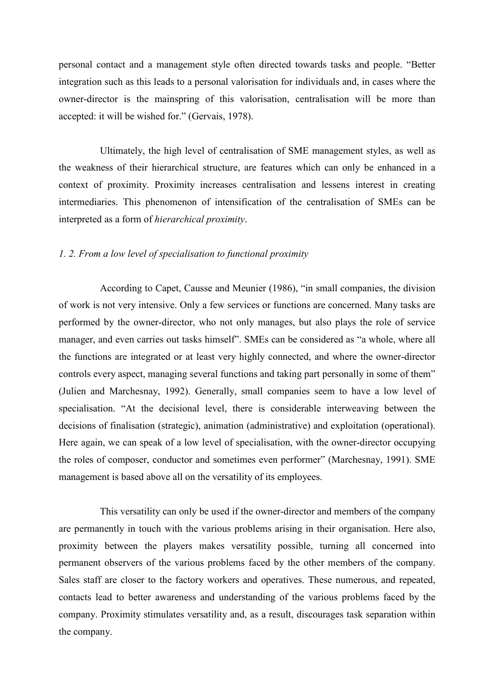personal contact and a management style often directed towards tasks and people. "Better integration such as this leads to a personal valorization for individuals and, in cases where the owner-director is the mainspring of this valorisation, centralisation will be more than accepted: it will be wished for." (Gervais, 1978).

Ultimately, the high level of centralisation of SME management styles, as well as the weakness of their hierarchical structure, are features which can only be enhanced in a context of proximity. Proximity increases centralisation and lessens interest in creating intermediaries. This phenomenon of intensification of the centralisation of SMEs can be interpreted as a form of *hierarchical proximity*.

#### 1. 2. From a low level of specialisation to functional proximity

According to Capet, Causse and Meunier (1986), "in small companies, the division of work is not very intensive. Only a few services or functions are concerned. Many tasks are performed by the owner-director, who not only manages, but also plays the role of service manager, and even carries out tasks himself". SMEs can be considered as "a whole, where all the functions are integrated or at least very highly connected, and where the owner-director controls every aspect, managing several functions and taking part personally in some of them" (Julien and Marchesnay, 1992). Generally, small companies seem to have a low level of specialisation. "At the decisional level, there is considerable interweaving between the decisions of finalisation (strategic), animation (administrative) and exploitation (operational). Here again, we can speak of a low level of specialisation, with the owner-director occupying the roles of composer, conductor and sometimes even performer" (Marchesnay, 1991). SME management is based above all on the versatility of its employees.

This versatility can only be used if the owner-director and members of the company are permanently in touch with the various problems arising in their organisation. Here also, proximity between the players makes versatility possible, turning all concerned into permanent observers of the various problems faced by the other members of the company. Sales staff are closer to the factory workers and operatives. These numerous, and repeated, contacts lead to better awareness and understanding of the various problems faced by the company. Proximity stimulates versatility and, as a result, discourages task separation within the company.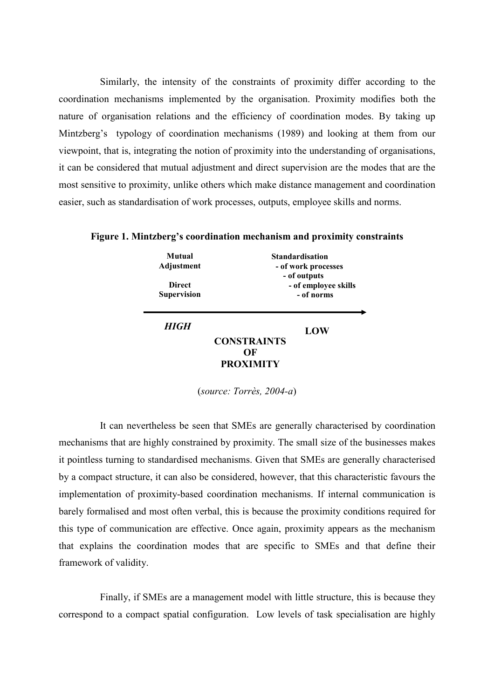Similarly, the intensity of the constraints of proximity differ according to the coordination mechanisms implemented by the organisation. Proximity modifies both the nature of organisation relations and the efficiency of coordination modes. By taking up Mintzberg's typology of coordination mechanisms (1989) and looking at them from our viewpoint, that is, integrating the notion of proximity into the understanding of organisations, it can be considered that mutual adjustment and direct supervision are the modes that are the most sensitive to proximity, unlike others which make distance management and coordination easier, such as standardisation of work processes, outputs, employee skills and norms.

Figure 1. Mintzberg's coordination mechanism and proximity constraints

| Mutual<br>Adjustment<br><b>Direct</b><br><b>Supervision</b> |                    | Standardisation<br>- of work processes<br>- of outputs<br>- of employee skills<br>- of norms |
|-------------------------------------------------------------|--------------------|----------------------------------------------------------------------------------------------|
| HIGH                                                        | <b>CONSTRAINTS</b> | LOW                                                                                          |

OF **PROXIMITY** 

 $(source: Torrès, 2004-a)$ 

It can nevertheless be seen that SMEs are generally characterised by coordination mechanisms that are highly constrained by proximity. The small size of the businesses makes it pointless turning to standardised mechanisms. Given that SMEs are generally characterised by a compact structure, it can also be considered, however, that this characteristic favours the implementation of proximity-based coordination mechanisms. If internal communication is barely formalised and most often verbal, this is because the proximity conditions required for this type of communication are effective. Once again, proximity appears as the mechanism that explains the coordination modes that are specific to SMEs and that define their framework of validity.

Finally, if SMEs are a management model with little structure, this is because they correspond to a compact spatial configuration. Low levels of task specialisation are highly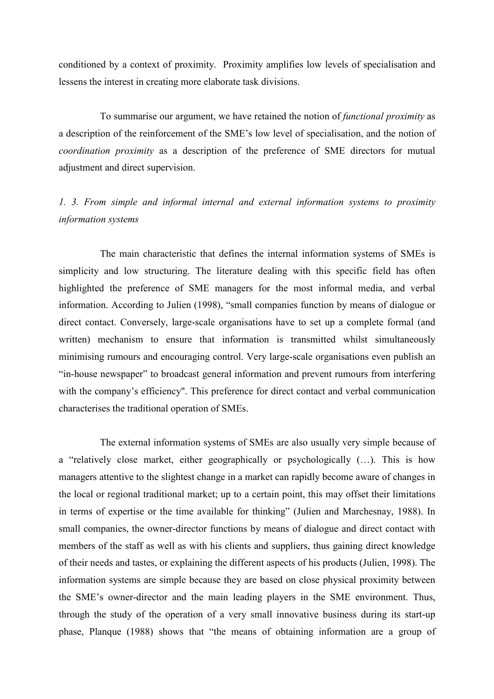conditioned by a context of proximity. Proximity amplifies low levels of specialisation and lessens the interest in creating more elaborate task divisions.

To summarise our argument, we have retained the notion of *functional proximity* as a description of the reinforcement of the SME's low level of specialisation, and the notion of coordination proximity as a description of the preference of SME directors for mutual adjustment and direct supervision.

## 1. 3. From simple and informal internal and external information systems to proximity information systems

The main characteristic that defines the internal information systems of SMEs is simplicity and low structuring. The literature dealing with this specific field has often highlighted the preference of SME managers for the most informal media, and verbal information. According to Julien (1998), "small companies function by means of dialogue or direct contact. Conversely, large-scale organisations have to set up a complete formal (and written) mechanism to ensure that information is transmitted whilst simultaneously minimising rumours and encouraging control. Very large-scale organisations even publish an "in-house newspaper" to broadcast general information and prevent rumours from interfering with the company's efficiency". This preference for direct contact and verbal communication characterises the traditional operation of SMEs.

The external information systems of SMEs are also usually very simple because of a "relatively close market, either geographically or psychologically (...). This is how managers attentive to the slightest change in a market can rapidly become aware of changes in the local or regional traditional market; up to a certain point, this may offset their limitations in terms of expertise or the time available for thinking" (Julien and Marchesnay, 1988). In small companies, the owner-director functions by means of dialogue and direct contact with members of the staff as well as with his clients and suppliers, thus gaining direct knowledge of their needs and tastes, or explaining the different aspects of his products (Julien, 1998). The information systems are simple because they are based on close physical proximity between the SME's owner-director and the main leading players in the SME environment. Thus, through the study of the operation of a very small innovative business during its start-up phase, Planque (1988) shows that "the means of obtaining information are a group of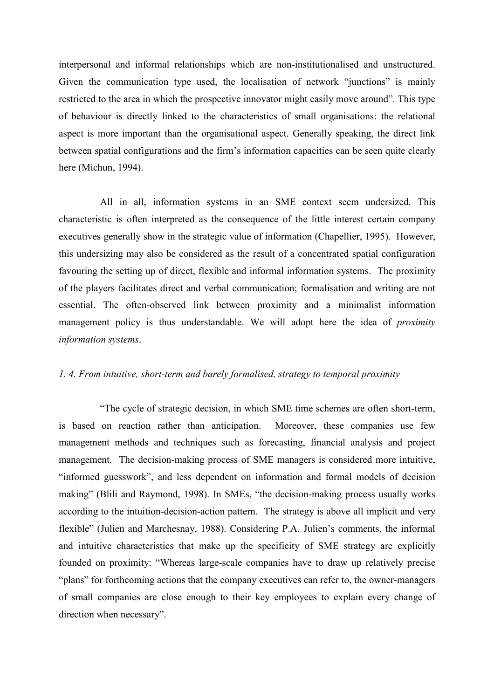interpersonal and informal relationships which are non-institutionalised and unstructured. Given the communication type used, the localisation of network "junctions" is mainly restricted to the area in which the prospective innovator might easily move around". This type of behaviour is directly linked to the characteristics of small organisations: the relational aspect is more important than the organisational aspect. Generally speaking, the direct link between spatial configurations and the firm's information capacities can be seen quite clearly here (Michun, 1994).

All in all, information systems in an SME context seem undersized. This characteristic is often interpreted as the consequence of the little interest certain company executives generally show in the strategic value of information (Chapellier, 1995). However, this undersizing may also be considered as the result of a concentrated spatial configuration favouring the setting up of direct, flexible and informal information systems. The proximity of the players facilitates direct and verbal communication; formalisation and writing are not essential. The often-observed link between proximity and a minimalist information management policy is thus understandable. We will adopt here the idea of *proximity* information systems.

#### 1.4. From intuitive, short-term and barely formalised, strategy to temporal proximity

"The cycle of strategic decision, in which SME time schemes are often short-term, is based on reaction rather than anticipation. Moreover, these companies use few management methods and techniques such as forecasting, financial analysis and project management. The decision-making process of SME managers is considered more intuitive. "informed guesswork", and less dependent on information and formal models of decision making" (Blili and Raymond, 1998). In SMEs, "the decision-making process usually works according to the intuition-decision-action pattern. The strategy is above all implicit and very flexible" (Julien and Marchesnay, 1988). Considering P.A. Julien's comments, the informal and intuitive characteristics that make up the specificity of SME strategy are explicitly founded on proximity: "Whereas large-scale companies have to draw up relatively precise "plans" for forthcoming actions that the company executives can refer to, the owner-managers of small companies are close enough to their key employees to explain every change of direction when necessary".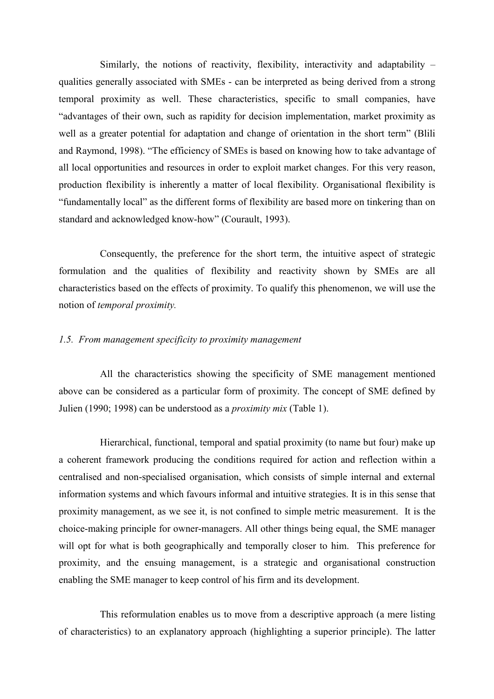Similarly, the notions of reactivity, flexibility, interactivity and adaptability – qualities generally associated with SMEs - can be interpreted as being derived from a strong temporal proximity as well. These characteristics, specific to small companies, have "advantages of their own, such as rapidity for decision implementation, market proximity as well as a greater potential for adaptation and change of orientation in the short term" (Blili and Raymond, 1998). "The efficiency of SMEs is based on knowing how to take advantage of all local opportunities and resources in order to exploit market changes. For this very reason, production flexibility is inherently a matter of local flexibility. Organisational flexibility is "fundamentally local" as the different forms of flexibility are based more on tinkering than on standard and acknowledged know-how" (Courault, 1993).

Consequently, the preference for the short term, the intuitive aspect of strategic formulation and the qualities of flexibility and reactivity shown by SMEs are all characteristics based on the effects of proximity. To qualify this phenomenon, we will use the notion of *temporal proximity*.

#### 1.5. From management specificity to proximity management

All the characteristics showing the specificity of SME management mentioned above can be considered as a particular form of proximity. The concept of SME defined by Julien (1990; 1998) can be understood as a *proximity mix* (Table 1).

Hierarchical, functional, temporal and spatial proximity (to name but four) make up a coherent framework producing the conditions required for action and reflection within a centralised and non-specialised organisation, which consists of simple internal and external information systems and which favours informal and intuitive strategies. It is in this sense that proximity management, as we see it, is not confined to simple metric measurement. It is the choice-making principle for owner-managers. All other things being equal, the SME manager will opt for what is both geographically and temporally closer to him. This preference for proximity, and the ensuing management, is a strategic and organisational construction enabling the SME manager to keep control of his firm and its development.

This reformulation enables us to move from a descriptive approach (a mere listing of characteristics) to an explanatory approach (highlighting a superior principle). The latter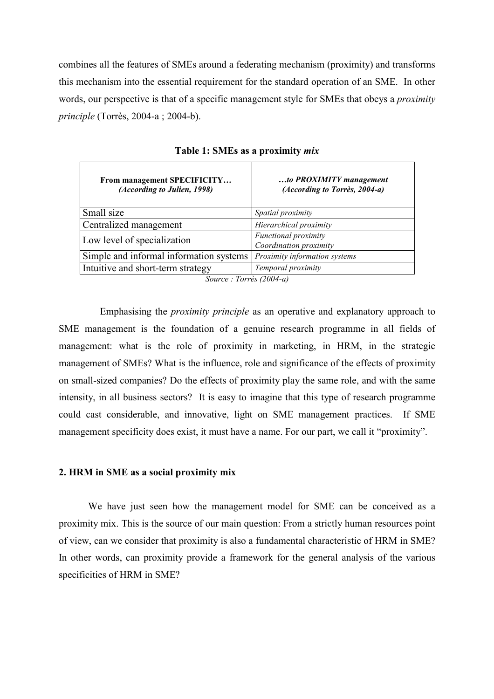combines all the features of SMEs around a federating mechanism (proximity) and transforms this mechanism into the essential requirement for the standard operation of an SME. In other words, our perspective is that of a specific management style for SMEs that obeys a *proximity principle* (Torrès, 2004-a; 2004-b).

| From management SPECIFICITY<br>(According to Julien, 1998) | to PROXIMITY management<br>(According to Torrès, 2004-a) |
|------------------------------------------------------------|----------------------------------------------------------|
| Small size                                                 | Spatial proximity                                        |
| Centralized management                                     | Hierarchical proximity                                   |
| Low level of specialization                                | Functional proximity<br>Coordination proximity           |
| Simple and informal information systems                    | Proximity information systems                            |
| Intuitive and short-term strategy                          | Temporal proximity                                       |

Table 1: SMEs as a proximity *mix* 

Source: Torrès (2004-a)

Emphasising the *proximity principle* as an operative and explanatory approach to SME management is the foundation of a genuine research programme in all fields of management: what is the role of proximity in marketing, in HRM, in the strategic management of SMEs? What is the influence, role and significance of the effects of proximity on small-sized companies? Do the effects of proximity play the same role, and with the same intensity, in all business sectors? It is easy to imagine that this type of research programme could cast considerable, and innovative, light on SME management practices. If SME management specificity does exist, it must have a name. For our part, we call it "proximity".

#### 2. HRM in SME as a social proximity mix

We have just seen how the management model for SME can be conceived as a proximity mix. This is the source of our main question: From a strictly human resources point of view, can we consider that proximity is also a fundamental characteristic of HRM in SME? In other words, can proximity provide a framework for the general analysis of the various specificities of HRM in SME?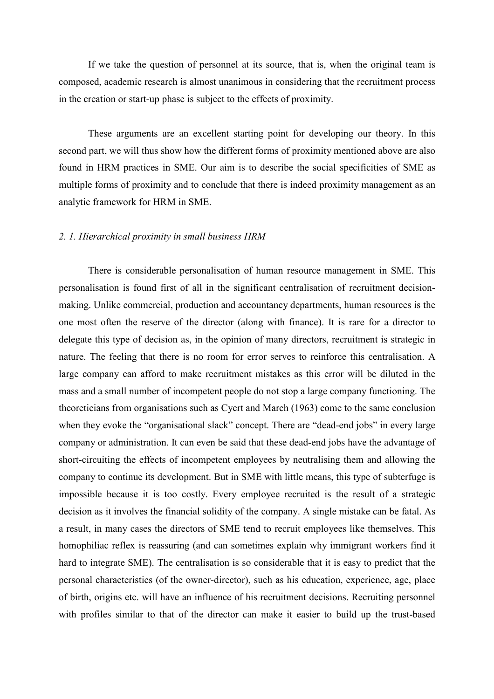If we take the question of personnel at its source, that is, when the original team is composed, academic research is almost unanimous in considering that the recruitment process in the creation or start-up phase is subject to the effects of proximity.

These arguments are an excellent starting point for developing our theory. In this second part, we will thus show how the different forms of proximity mentioned above are also found in HRM practices in SME. Our aim is to describe the social specificities of SME as multiple forms of proximity and to conclude that there is indeed proximity management as an analytic framework for HRM in SME.

#### 2. 1. Hierarchical proximity in small business HRM

There is considerable personalisation of human resource management in SME. This personalisation is found first of all in the significant centralisation of recruitment decisionmaking. Unlike commercial, production and accountancy departments, human resources is the one most often the reserve of the director (along with finance). It is rare for a director to delegate this type of decision as, in the opinion of many directors, recruitment is strategic in nature. The feeling that there is no room for error serves to reinforce this centralisation. A large company can afford to make recruitment mistakes as this error will be diluted in the mass and a small number of incompetent people do not stop a large company functioning. The theoreticians from organisations such as Cyert and March (1963) come to the same conclusion when they evoke the "organisational slack" concept. There are "dead-end jobs" in every large company or administration. It can even be said that these dead-end jobs have the advantage of short-circuiting the effects of incompetent employees by neutralising them and allowing the company to continue its development. But in SME with little means, this type of subterfuge is impossible because it is too costly. Every employee recruited is the result of a strategic decision as it involves the financial solidity of the company. A single mistake can be fatal. As a result, in many cases the directors of SME tend to recruit employees like themselves. This homophiliac reflex is reassuring (and can sometimes explain why immigrant workers find it hard to integrate SME). The centralisation is so considerable that it is easy to predict that the personal characteristics (of the owner-director), such as his education, experience, age, place of birth, origins etc. will have an influence of his recruitment decisions. Recruiting personnel with profiles similar to that of the director can make it easier to build up the trust-based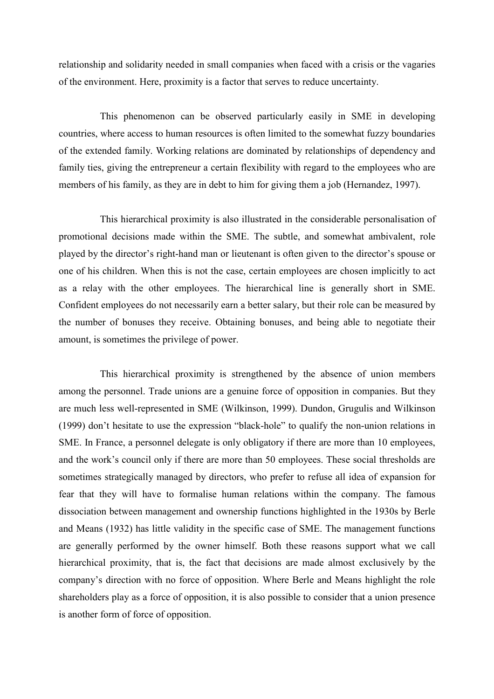relationship and solidarity needed in small companies when faced with a crisis or the vagaries of the environment. Here, proximity is a factor that serves to reduce uncertainty.

This phenomenon can be observed particularly easily in SME in developing countries, where access to human resources is often limited to the somewhat fuzzy boundaries of the extended family. Working relations are dominated by relationships of dependency and family ties, giving the entrepreneur a certain flexibility with regard to the employees who are members of his family, as they are in debt to him for giving them a job (Hernandez, 1997).

This hierarchical proximity is also illustrated in the considerable personalisation of promotional decisions made within the SME. The subtle, and somewhat ambivalent, role played by the director's right-hand man or lieutenant is often given to the director's spouse or one of his children. When this is not the case, certain employees are chosen implicitly to act as a relay with the other employees. The hierarchical line is generally short in SME. Confident employees do not necessarily earn a better salary, but their role can be measured by the number of bonuses they receive. Obtaining bonuses, and being able to negotiate their amount, is sometimes the privilege of power.

This hierarchical proximity is strengthened by the absence of union members among the personnel. Trade unions are a genuine force of opposition in companies. But they are much less well-represented in SME (Wilkinson, 1999). Dundon, Grugulis and Wilkinson (1999) don't hesitate to use the expression "black-hole" to qualify the non-union relations in SME. In France, a personnel delegate is only obligatory if there are more than 10 employees, and the work's council only if there are more than 50 employees. These social thresholds are sometimes strategically managed by directors, who prefer to refuse all idea of expansion for fear that they will have to formalise human relations within the company. The famous dissociation between management and ownership functions highlighted in the 1930s by Berle and Means (1932) has little validity in the specific case of SME. The management functions are generally performed by the owner himself. Both these reasons support what we call hierarchical proximity, that is, the fact that decisions are made almost exclusively by the company's direction with no force of opposition. Where Berle and Means highlight the role shareholders play as a force of opposition, it is also possible to consider that a union presence is another form of force of opposition.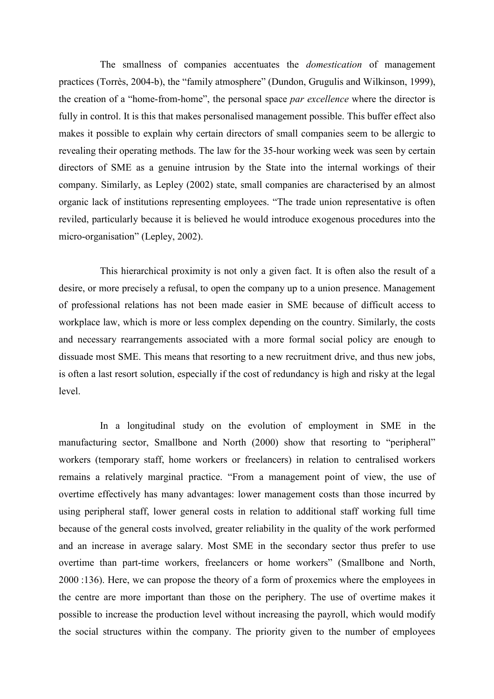The smallness of companies accentuates the *domestication* of management practices (Torrès, 2004-b), the "family atmosphere" (Dundon, Grugulis and Wilkinson, 1999), the creation of a "home-from-home", the personal space par excellence where the director is fully in control. It is this that makes personalised management possible. This buffer effect also makes it possible to explain why certain directors of small companies seem to be allergic to revealing their operating methods. The law for the 35-hour working week was seen by certain directors of SME as a genuine intrusion by the State into the internal workings of their company. Similarly, as Lepley (2002) state, small companies are characterised by an almost organic lack of institutions representing employees. "The trade union representative is often reviled, particularly because it is believed he would introduce exogenous procedures into the micro-organisation" (Lepley, 2002).

This hierarchical proximity is not only a given fact. It is often also the result of a desire, or more precisely a refusal, to open the company up to a union presence. Management of professional relations has not been made easier in SME because of difficult access to workplace law, which is more or less complex depending on the country. Similarly, the costs and necessary rearrangements associated with a more formal social policy are enough to dissuade most SME. This means that resorting to a new recruitment drive, and thus new jobs, is often a last resort solution, especially if the cost of redundancy is high and risky at the legal level.

In a longitudinal study on the evolution of employment in SME in the manufacturing sector, Smallbone and North (2000) show that resorting to "peripheral" workers (temporary staff, home workers or freelancers) in relation to centralised workers remains a relatively marginal practice. "From a management point of view, the use of overtime effectively has many advantages: lower management costs than those incurred by using peripheral staff, lower general costs in relation to additional staff working full time because of the general costs involved, greater reliability in the quality of the work performed and an increase in average salary. Most SME in the secondary sector thus prefer to use overtime than part-time workers, freelancers or home workers" (Smallbone and North, 2000 :136). Here, we can propose the theory of a form of proxemics where the employees in the centre are more important than those on the periphery. The use of overtime makes it possible to increase the production level without increasing the payroll, which would modify the social structures within the company. The priority given to the number of employees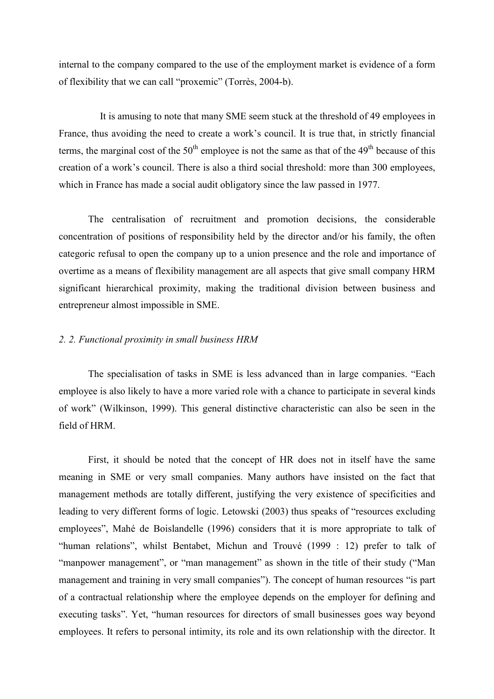internal to the company compared to the use of the employment market is evidence of a form of flexibility that we can call "proxemic" (Torrès, 2004-b).

It is amusing to note that many SME seem stuck at the threshold of 49 employees in France, thus avoiding the need to create a work's council. It is true that, in strictly financial terms, the marginal cost of the  $50<sup>th</sup>$  employee is not the same as that of the  $49<sup>th</sup>$  because of this creation of a work's council. There is also a third social threshold: more than 300 employees, which in France has made a social audit obligatory since the law passed in 1977.

The centralisation of recruitment and promotion decisions, the considerable concentration of positions of responsibility held by the director and/or his family, the often categoric refusal to open the company up to a union presence and the role and importance of overtime as a means of flexibility management are all aspects that give small company HRM significant hierarchical proximity, making the traditional division between business and entrepreneur almost impossible in SME.

#### 2. 2. Functional proximity in small business HRM

The specialisation of tasks in SME is less advanced than in large companies. "Each employee is also likely to have a more varied role with a chance to participate in several kinds of work" (Wilkinson, 1999). This general distinctive characteristic can also be seen in the field of HRM.

First, it should be noted that the concept of HR does not in itself have the same meaning in SME or very small companies. Many authors have insisted on the fact that management methods are totally different, justifying the very existence of specificities and leading to very different forms of logic. Letowski (2003) thus speaks of "resources excluding employees", Mahé de Boislandelle (1996) considers that it is more appropriate to talk of "human relations", whilst Bentabet, Michun and Trouvé (1999 : 12) prefer to talk of "manpower management", or "man management" as shown in the title of their study ("Man management and training in very small companies"). The concept of human resources "is part of a contractual relationship where the employee depends on the employer for defining and executing tasks". Yet, "human resources for directors of small businesses goes way beyond employees. It refers to personal intimity, its role and its own relationship with the director. It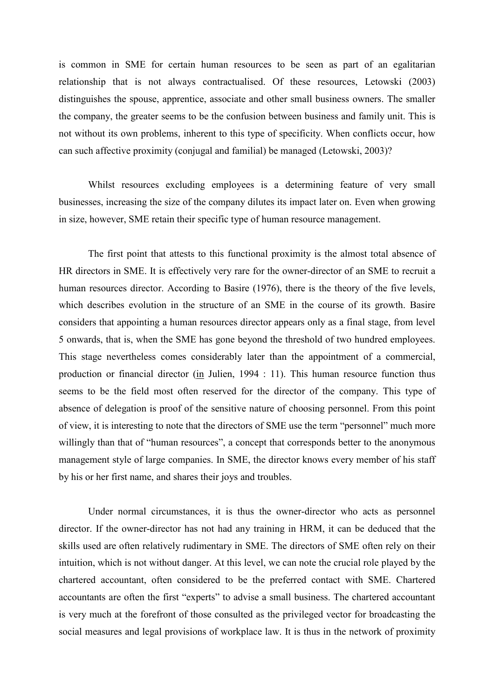is common in SME for certain human resources to be seen as part of an egalitarian relationship that is not always contractualised. Of these resources, Letowski (2003) distinguishes the spouse, apprentice, associate and other small business owners. The smaller the company, the greater seems to be the confusion between business and family unit. This is not without its own problems, inherent to this type of specificity. When conflicts occur, how can such affective proximity (conjugal and familial) be managed (Letowski, 2003)?

Whilst resources excluding employees is a determining feature of very small businesses, increasing the size of the company dilutes its impact later on. Even when growing in size, however, SME retain their specific type of human resource management.

The first point that attests to this functional proximity is the almost total absence of HR directors in SME. It is effectively very rare for the owner-director of an SME to recruit a human resources director. According to Basire (1976), there is the theory of the five levels, which describes evolution in the structure of an SME in the course of its growth. Basire considers that appointing a human resources director appears only as a final stage, from level 5 onwards, that is, when the SME has gone beyond the threshold of two hundred employees. This stage nevertheless comes considerably later than the appointment of a commercial, production or financial director (in Julien, 1994 : 11). This human resource function thus seems to be the field most often reserved for the director of the company. This type of absence of delegation is proof of the sensitive nature of choosing personnel. From this point of view, it is interesting to note that the directors of SME use the term "personnel" much more willingly than that of "human resources", a concept that corresponds better to the anonymous management style of large companies. In SME, the director knows every member of his staff by his or her first name, and shares their joys and troubles.

Under normal circumstances, it is thus the owner-director who acts as personnel director. If the owner-director has not had any training in HRM, it can be deduced that the skills used are often relatively rudimentary in SME. The directors of SME often rely on their intuition, which is not without danger. At this level, we can note the crucial role played by the chartered accountant, often considered to be the preferred contact with SME. Chartered accountants are often the first "experts" to advise a small business. The chartered accountant is very much at the forefront of those consulted as the privileged vector for broadcasting the social measures and legal provisions of workplace law. It is thus in the network of proximity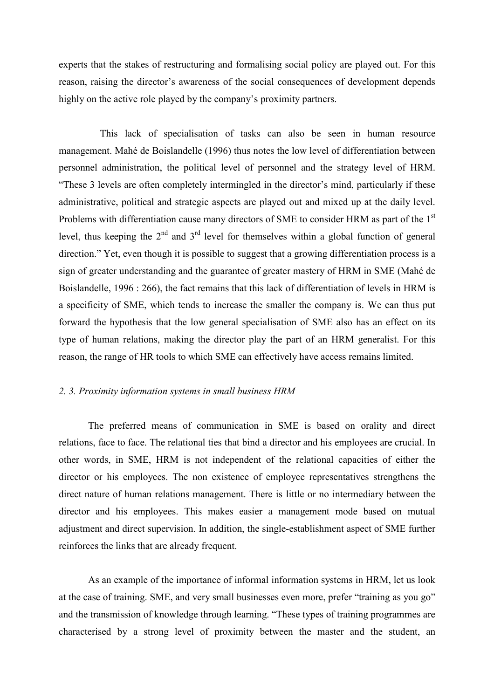experts that the stakes of restructuring and formalising social policy are played out. For this reason, raising the director's awareness of the social consequences of development depends highly on the active role played by the company's proximity partners.

This lack of specialisation of tasks can also be seen in human resource management. Mahé de Boislandelle (1996) thus notes the low level of differentiation between personnel administration, the political level of personnel and the strategy level of HRM. "These 3 levels are often completely intermingled in the director's mind, particularly if these administrative, political and strategic aspects are played out and mixed up at the daily level. Problems with differentiation cause many directors of SME to consider HRM as part of the 1<sup>st</sup> level, thus keeping the  $2<sup>nd</sup>$  and  $3<sup>rd</sup>$  level for themselves within a global function of general direction." Yet, even though it is possible to suggest that a growing differentiation process is a sign of greater understanding and the guarantee of greater mastery of HRM in SME (Mahé de Boislandelle, 1996 : 266), the fact remains that this lack of differentiation of levels in HRM is a specificity of SME, which tends to increase the smaller the company is. We can thus put forward the hypothesis that the low general specialisation of SME also has an effect on its type of human relations, making the director play the part of an HRM generalist. For this reason, the range of HR tools to which SME can effectively have access remains limited.

#### 2. 3. Proximity information systems in small business HRM

The preferred means of communication in SME is based on orality and direct relations, face to face. The relational ties that bind a director and his employees are crucial. In other words, in SME, HRM is not independent of the relational capacities of either the director or his employees. The non existence of employee representatives strengthens the direct nature of human relations management. There is little or no intermediary between the director and his employees. This makes easier a management mode based on mutual adjustment and direct supervision. In addition, the single-establishment aspect of SME further reinforces the links that are already frequent.

As an example of the importance of informal information systems in HRM, let us look at the case of training. SME, and very small businesses even more, prefer "training as you go" and the transmission of knowledge through learning. "These types of training programmes are characterised by a strong level of proximity between the master and the student, an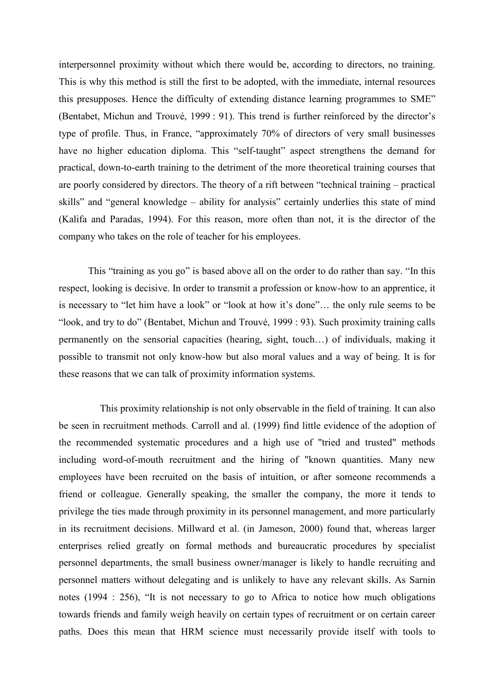interpersonnel proximity without which there would be, according to directors, no training. This is why this method is still the first to be adopted, with the immediate, internal resources this presupposes. Hence the difficulty of extending distance learning programmes to SME" (Bentabet, Michun and Trouvé, 1999 : 91). This trend is further reinforced by the director's type of profile. Thus, in France, "approximately 70% of directors of very small businesses have no higher education diploma. This "self-taught" aspect strengthens the demand for practical, down-to-earth training to the detriment of the more theoretical training courses that are poorly considered by directors. The theory of a rift between "technical training – practical skills" and "general knowledge – ability for analysis" certainly underlies this state of mind (Kalifa and Paradas, 1994). For this reason, more often than not, it is the director of the company who takes on the role of teacher for his employees.

This "training as you go" is based above all on the order to do rather than say. "In this respect, looking is decisive. In order to transmit a profession or know-how to an apprentice, it is necessary to "let him have a look" or "look at how it's done"... the only rule seems to be "look, and try to do" (Bentabet, Michun and Trouvé, 1999 : 93). Such proximity training calls permanently on the sensorial capacities (hearing, sight, touch...) of individuals, making it possible to transmit not only know-how but also moral values and a way of being. It is for these reasons that we can talk of proximity information systems.

This proximity relationship is not only observable in the field of training. It can also be seen in recruitment methods. Carroll and al. (1999) find little evidence of the adoption of the recommended systematic procedures and a high use of "tried and trusted" methods including word-of-mouth recruitment and the hiring of "known quantities. Many new employees have been recruited on the basis of intuition, or after someone recommends a friend or colleague. Generally speaking, the smaller the company, the more it tends to privilege the ties made through proximity in its personnel management, and more particularly in its recruitment decisions. Millward et al. (in Jameson, 2000) found that, whereas larger enterprises relied greatly on formal methods and bureaucratic procedures by specialist personnel departments, the small business owner/manager is likely to handle recruiting and personnel matters without delegating and is unlikely to have any relevant skills. As Sarnin notes (1994 : 256). "It is not necessary to go to Africa to notice how much obligations towards friends and family weigh heavily on certain types of recruitment or on certain career paths. Does this mean that HRM science must necessarily provide itself with tools to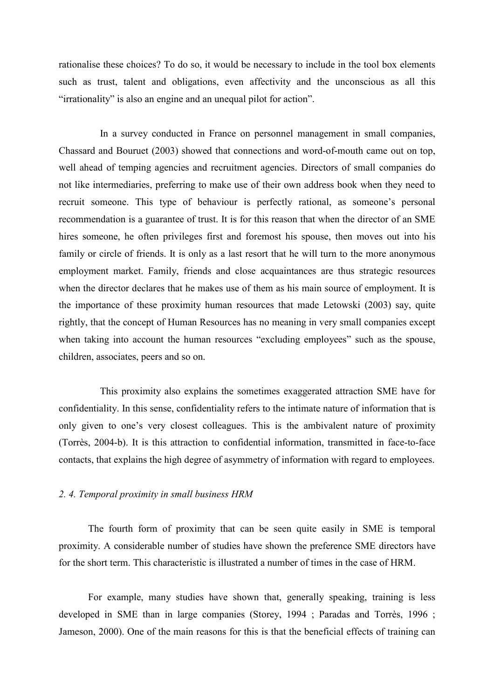rationalise these choices? To do so, it would be necessary to include in the tool box elements such as trust, talent and obligations, even affectivity and the unconscious as all this "irrationality" is also an engine and an unequal pilot for action".

In a survey conducted in France on personnel management in small companies, Chassard and Bouruet (2003) showed that connections and word-of-mouth came out on top. well ahead of temping agencies and recruitment agencies. Directors of small companies do not like intermediaries, preferring to make use of their own address book when they need to recruit someone. This type of behaviour is perfectly rational, as someone's personal recommendation is a guarantee of trust. It is for this reason that when the director of an SME hires someone, he often privileges first and foremost his spouse, then moves out into his family or circle of friends. It is only as a last resort that he will turn to the more anonymous employment market. Family, friends and close acquaintances are thus strategic resources when the director declares that he makes use of them as his main source of employment. It is the importance of these proximity human resources that made Letowski (2003) say, quite rightly, that the concept of Human Resources has no meaning in very small companies except when taking into account the human resources "excluding employees" such as the spouse, children, associates, peers and so on.

This proximity also explains the sometimes exaggerated attraction SME have for confidentiality. In this sense, confidentiality refers to the intimate nature of information that is only given to one's very closest colleagues. This is the ambivalent nature of proximity (Torrès, 2004-b). It is this attraction to confidential information, transmitted in face-to-face contacts, that explains the high degree of asymmetry of information with regard to employees.

#### 2. 4. Temporal proximity in small business HRM

The fourth form of proximity that can be seen quite easily in SME is temporal proximity. A considerable number of studies have shown the preference SME directors have for the short term. This characteristic is illustrated a number of times in the case of HRM.

For example, many studies have shown that, generally speaking, training is less developed in SME than in large companies (Storey, 1994; Paradas and Torrès, 1996; Jameson, 2000). One of the main reasons for this is that the beneficial effects of training can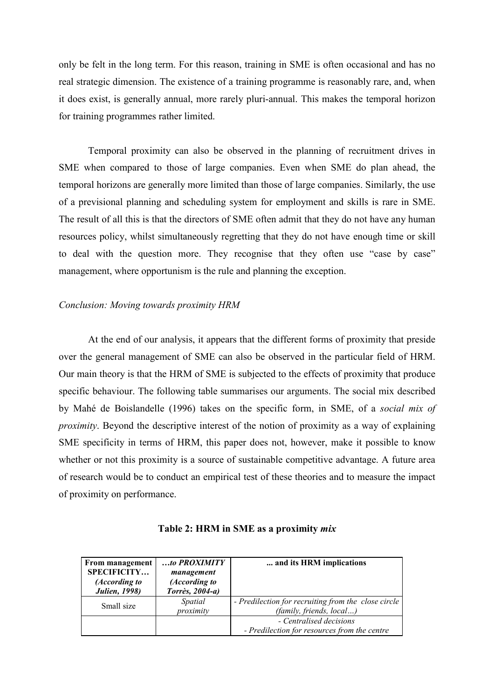only be felt in the long term. For this reason, training in SME is often occasional and has no real strategic dimension. The existence of a training programme is reasonably rare, and, when it does exist, is generally annual, more rarely pluri-annual. This makes the temporal horizon for training programmes rather limited.

Temporal proximity can also be observed in the planning of recruitment drives in SME when compared to those of large companies. Even when SME do plan ahead, the temporal horizons are generally more limited than those of large companies. Similarly, the use of a previsional planning and scheduling system for employment and skills is rare in SME. The result of all this is that the directors of SME often admit that they do not have any human resources policy, whilst simultaneously regretting that they do not have enough time or skill to deal with the question more. They recognise that they often use "case by case" management, where opportunism is the rule and planning the exception.

#### Conclusion: Moving towards proximity HRM

At the end of our analysis, it appears that the different forms of proximity that preside over the general management of SME can also be observed in the particular field of HRM. Our main theory is that the HRM of SME is subjected to the effects of proximity that produce specific behaviour. The following table summarises our arguments. The social mix described by Mahé de Boislandelle (1996) takes on the specific form, in SME, of a social mix of *proximity*. Beyond the descriptive interest of the notion of proximity as a way of explaining SME specificity in terms of HRM, this paper does not, however, make it possible to know whether or not this proximity is a source of sustainable competitive advantage. A future area of research would be to conduct an empirical test of these theories and to measure the impact of proximity on performance.

| From management<br><b>SPECIFICITY</b><br>(According to<br><b>Julien</b> , 1998) | $$ to PROXIMITY<br>management<br>(According to<br>Torrès, 2004-a) | and its HRM implications                                                        |
|---------------------------------------------------------------------------------|-------------------------------------------------------------------|---------------------------------------------------------------------------------|
| Small size                                                                      | Spatial<br>proximity                                              | - Predilection for recruiting from the close circle<br>(family, friends, local) |
|                                                                                 |                                                                   | - Centralised decisions<br>- Predilection for resources from the centre         |

#### Table 2: HRM in SME as a proximity mix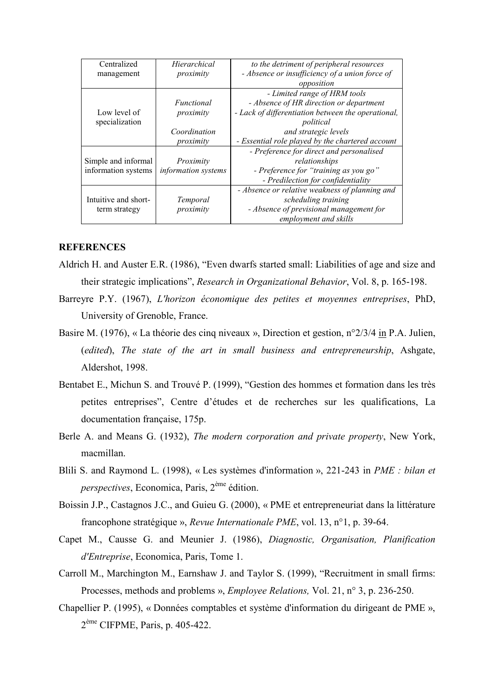| Centralized          | Hierarchical               | to the detriment of peripheral resources           |
|----------------------|----------------------------|----------------------------------------------------|
| management           | proximity                  | - Absence or insufficiency of a union force of     |
|                      |                            | opposition                                         |
|                      |                            | - Limited range of HRM tools                       |
|                      | Functional                 | - Absence of HR direction or department            |
| Low level of         | proximity                  | - Lack of differentiation between the operational, |
| specialization       |                            | political                                          |
|                      | Coordination               | and strategic levels                               |
|                      | proximity                  | - Essential role played by the chartered account   |
|                      |                            | - Preference for direct and personalised           |
| Simple and informal  | Proximity                  | relationships                                      |
| information systems  | <i>information systems</i> | - Preference for "training as you go"              |
|                      |                            | - Predilection for confidentiality                 |
|                      |                            | - Absence or relative weakness of planning and     |
| Intuitive and short- | Temporal                   | scheduling training                                |
| term strategy        | proximity                  | - Absence of previsional management for            |
|                      |                            | employment and skills                              |

#### **REFERENCES**

- Aldrich H. and Auster E.R. (1986), "Even dwarfs started small: Liabilities of age and size and their strategic implications", Research in Organizational Behavior, Vol. 8, p. 165-198.
- Barreyre P.Y. (1967), L'horizon économique des petites et moyennes entreprises, PhD, University of Grenoble, France.
- Basire M. (1976), « La théorie des cinq niveaux ». Direction et gestion,  $n^{\circ}2/3/4$  in P.A. Julien. (edited), The state of the art in small business and entrepreneurship, Ashgate, Aldershot, 1998.
- Bentabet E., Michun S. and Trouvé P. (1999), "Gestion des hommes et formation dans les très petites entreprises", Centre d'études et de recherches sur les qualifications, La documentation française, 175p.
- Berle A. and Means G. (1932), The modern corporation and private property, New York, macmillan.
- Blili S. and Raymond L. (1998), « Les systèmes d'information », 221-243 in PME : bilan et *perspectives*, Economica, Paris, 2<sup>ème</sup> édition.
- Boissin J.P., Castagnos J.C., and Guieu G. (2000), « PME et entrepreneuriat dans la littérature francophone stratégique », Revue Internationale PME, vol. 13, n°1, p. 39-64.
- Capet M., Causse G. and Meunier J. (1986), Diagnostic, Organisation, Planification d'Entreprise, Economica, Paris, Tome 1.
- Carroll M., Marchington M., Earnshaw J. and Taylor S. (1999), "Recruitment in small firms: Processes, methods and problems », *Employee Relations*, Vol. 21, n° 3, p. 236-250.
- Chapellier P. (1995), « Données comptables et système d'information du dirigeant de PME »,  $2^{\text{ème}}$  CIFPME, Paris, p. 405-422.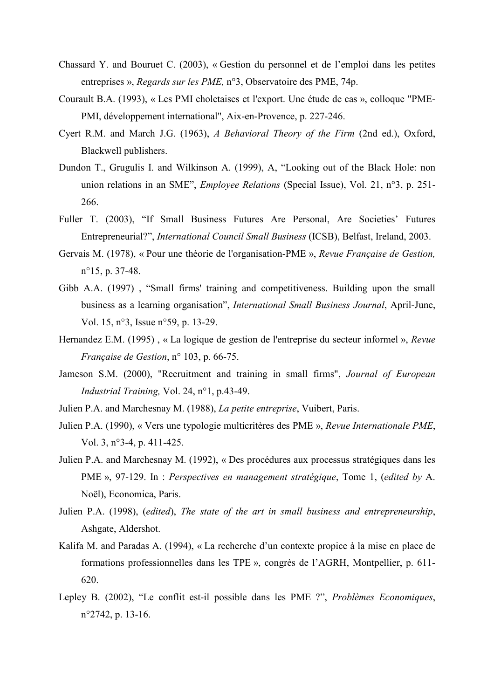- Chassard Y. and Bouruet C. (2003), « Gestion du personnel et de l'emploi dans les petites entreprises », *Regards sur les PME*, n°3, Observatoire des PME, 74p.
- Courault B.A. (1993), « Les PMI choletaises et l'export. Une étude de cas », colloque "PME-PMI, développement international", Aix-en-Provence, p. 227-246.
- Cyert R.M. and March J.G. (1963), A Behavioral Theory of the Firm (2nd ed.), Oxford, Blackwell publishers.
- Dundon T., Grugulis I. and Wilkinson A. (1999), A. "Looking out of the Black Hole: non union relations in an SME", *Employee Relations* (Special Issue), Vol. 21, n°3, p. 251-266.
- Fuller T. (2003), "If Small Business Futures Are Personal, Are Societies' Futures Entrepreneurial?", International Council Small Business (ICSB), Belfast, Ireland, 2003.
- Gervais M. (1978), « Pour une théorie de l'organisation-PME », Revue Française de Gestion,  $n^{\circ}15$ , p. 37-48.
- Gibb A.A. (1997), "Small firms' training and competitiveness. Building upon the small business as a learning organisation", *International Small Business Journal*, April-June, Vol. 15, n°3, Issue n°59, p. 13-29.
- Hernandez E.M. (1995), « La logique de gestion de l'entreprise du secteur informel », Revue Française de Gestion, n° 103, p. 66-75.
- Jameson S.M. (2000), "Recruitment and training in small firms", Journal of European *Industrial Training*, Vol. 24, n°1, p.43-49.
- Julien P.A. and Marchesnay M. (1988), La petite entreprise, Vuibert, Paris.
- Julien P.A. (1990), « Vers une typologie multicritères des PME », Revue Internationale PME, Vol. 3,  $n^{\circ}$ 3-4, p. 411-425.
- Julien P.A. and Marchesnay M. (1992), « Des procédures aux processus stratégiques dans les PME», 97-129. In : Perspectives en management stratégique, Tome 1, (edited by A. Noël), Economica, Paris.
- Julien P.A. (1998), (edited), The state of the art in small business and entrepreneurship, Ashgate, Aldershot.
- Kalifa M. and Paradas A. (1994), « La recherche d'un contexte propice à la mise en place de formations professionnelles dans les TPE», congrès de l'AGRH, Montpellier, p. 611- $620.$
- Lepley B. (2002), "Le conflit est-il possible dans les PME ?", Problèmes Economiques,  $n^{\circ}2742$ , p. 13-16.